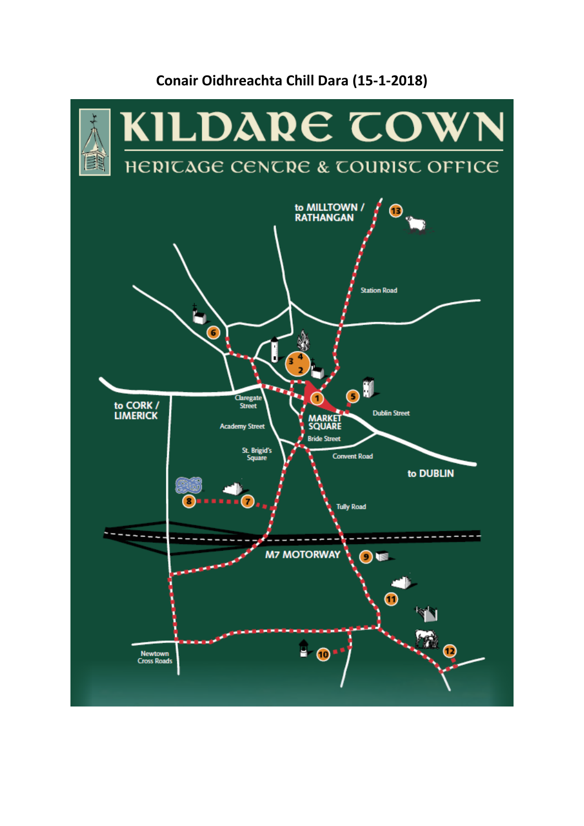# KILDARE COW HERICAGE CENCRE & COURIST OFFICE ER to MILLTOWN /<br>RATHANGAN ⋒ **Station Road** Ô ∩ Claregate to CORK /<br>LIMERICK **Dublin Street MARKET**<br>SQUARE **Stre Bride Street** St. Brigid's **Convent Road** to DUBLIN **Tully Road M7 MOTORWAY** ∩∎  $\mathbf \Omega$  $\widehat{\mathbf{z}}$  , ര ٠  $\mathbf{O}$  : Newtown<br>Cross Roads

# **Conair Oidhreachta Chill Dara (15-1-2018)**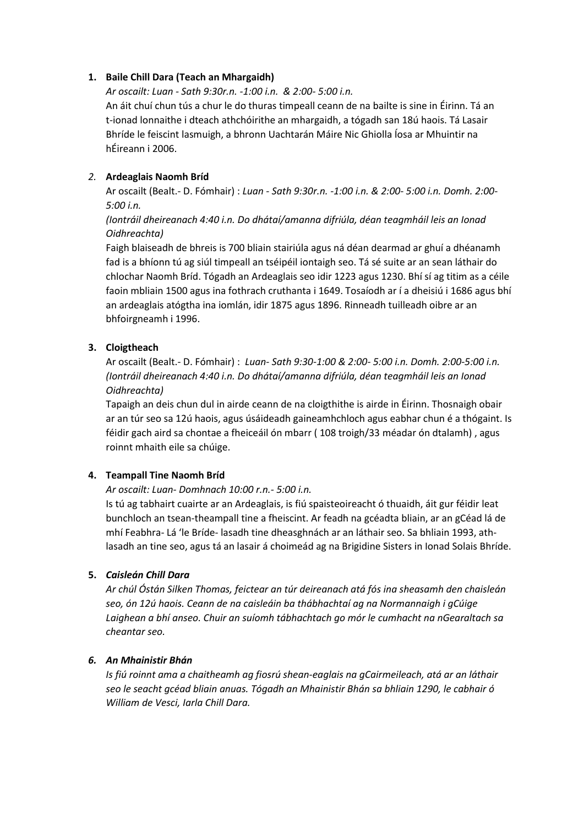# **1. Baile Chill Dara (Teach an Mhargaidh)**

*Ar oscailt: Luan - Sath 9:30r.n. -1:00 i.n. & 2:00- 5:00 i.n.*

An áit chuí chun tús a chur le do thuras timpeall ceann de na bailte is sine in Éirinn. Tá an t-ionad lonnaithe i dteach athchóirithe an mhargaidh, a tógadh san 18ú haois. Tá Lasair Bhríde le feiscint lasmuigh, a bhronn Uachtarán Máire Nic Ghiolla Íosa ar Mhuintir na hÉireann i 2006.

# *2.* **Ardeaglais Naomh Bríd**

Ar oscailt (Bealt.- D. Fómhair) : *Luan - Sath 9:30r.n. -1:00 i.n. & 2:00- 5:00 i.n. Domh. 2:00- 5:00 i.n.*

# *(Iontráil dheireanach 4:40 i.n. Do dhátaí/amanna difriúla, déan teagmháil leis an Ionad Oidhreachta)*

Faigh blaiseadh de bhreis is 700 bliain stairiúla agus ná déan dearmad ar ghuí a dhéanamh fad is a bhíonn tú ag siúl timpeall an tséipéil iontaigh seo. Tá sé suite ar an sean láthair do chlochar Naomh Bríd. Tógadh an Ardeaglais seo idir 1223 agus 1230. Bhí sí ag titim as a céile faoin mbliain 1500 agus ina fothrach cruthanta i 1649. Tosaíodh ar í a dheisiú i 1686 agus bhí an ardeaglais atógtha ina iomlán, idir 1875 agus 1896. Rinneadh tuilleadh oibre ar an bhfoirgneamh i 1996.

# **3. Cloigtheach**

Ar oscailt (Bealt.- D. Fómhair) : *Luan- Sath 9:30-1:00 & 2:00- 5:00 i.n. Domh. 2:00-5:00 i.n. (Iontráil dheireanach 4:40 i.n. Do dhátaí/amanna difriúla, déan teagmháil leis an Ionad Oidhreachta)*

Tapaigh an deis chun dul in airde ceann de na cloigthithe is airde in Éirinn. Thosnaigh obair ar an túr seo sa 12ú haois, agus úsáideadh gaineamhchloch agus eabhar chun é a thógaint. Is féidir gach aird sa chontae a fheiceáil ón mbarr ( 108 troigh/33 méadar ón dtalamh) , agus roinnt mhaith eile sa chúige.

# **4. Teampall Tine Naomh Bríd**

# *Ar oscailt: Luan- Domhnach 10:00 r.n.- 5:00 i.n.*

Is tú ag tabhairt cuairte ar an Ardeaglais, is fiú spaisteoireacht ó thuaidh, áit gur féidir leat bunchloch an tsean-theampall tine a fheiscint. Ar feadh na gcéadta bliain, ar an gCéad lá de mhí Feabhra- Lá 'le Bríde- lasadh tine dheasghnách ar an láthair seo. Sa bhliain 1993, athlasadh an tine seo, agus tá an lasair á choimeád ag na Brigidine Sisters in Ionad Solais Bhríde.

# **5.** *Caisleán Chill Dara*

*Ar chúl Óstán Silken Thomas, feictear an túr deireanach atá fós ina sheasamh den chaisleán seo, ón 12ú haois. Ceann de na caisleáin ba thábhachtaí ag na Normannaigh i gCúige Laighean a bhí anseo. Chuir an suíomh tábhachtach go mór le cumhacht na nGearaltach sa cheantar seo.*

# *6. An Mhainistir Bhán*

*Is fiú roinnt ama a chaitheamh ag fiosrú shean-eaglais na gCairmeileach, atá ar an láthair seo le seacht gcéad bliain anuas. Tógadh an Mhainistir Bhán sa bhliain 1290, le cabhair ó William de Vesci, Iarla Chill Dara.*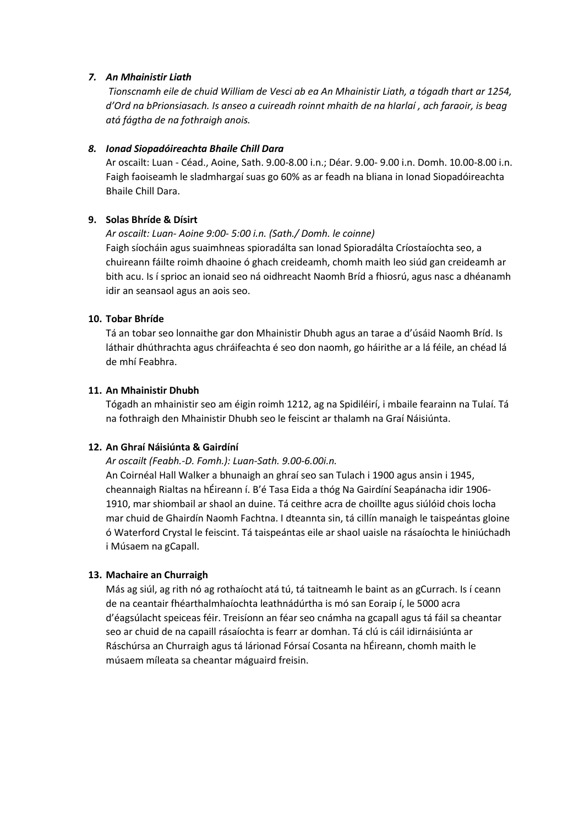# *7. An Mhainistir Liath*

*Tionscnamh eile de chuid William de Vesci ab ea An Mhainistir Liath, a tógadh thart ar 1254, d'Ord na bPrionsiasach. Is anseo a cuireadh roinnt mhaith de na hIarlaí , ach faraoir, is beag atá fágtha de na fothraigh anois.*

#### *8. Ionad Siopadóireachta Bhaile Chill Dara*

Ar oscailt: Luan - Céad., Aoine, Sath. 9.00-8.00 i.n.; Déar. 9.00- 9.00 i.n. Domh. 10.00-8.00 i.n. Faigh faoiseamh le sladmhargaí suas go 60% as ar feadh na bliana in Ionad Siopadóireachta Bhaile Chill Dara.

# **9. Solas Bhríde & Dísirt**

#### *Ar oscailt: Luan- Aoine 9:00- 5:00 i.n. (Sath./ Domh. le coinne)*

Faigh síocháin agus suaimhneas spioradálta san Ionad Spioradálta Críostaíochta seo, a chuireann fáilte roimh dhaoine ó ghach creideamh, chomh maith leo siúd gan creideamh ar bith acu. Is í sprioc an ionaid seo ná oidhreacht Naomh Bríd a fhiosrú, agus nasc a dhéanamh idir an seansaol agus an aois seo.

#### **10. Tobar Bhríde**

Tá an tobar seo lonnaithe gar don Mhainistir Dhubh agus an tarae a d'úsáid Naomh Bríd. Is láthair dhúthrachta agus chráifeachta é seo don naomh, go háirithe ar a lá féile, an chéad lá de mhí Feabhra.

#### **11. An Mhainistir Dhubh**

Tógadh an mhainistir seo am éigin roimh 1212, ag na Spidiléirí, i mbaile fearainn na Tulaí. Tá na fothraigh den Mhainistir Dhubh seo le feiscint ar thalamh na Graí Náisiúnta.

#### **12. An Ghraí Náisiúnta & Gairdíní**

#### *Ar oscailt (Feabh.-D. Fomh.): Luan-Sath. 9.00-6.00i.n.*

An Coirnéal Hall Walker a bhunaigh an ghraí seo san Tulach i 1900 agus ansin i 1945, cheannaigh Rialtas na hÉireann í. B'é Tasa Eida a thóg Na Gairdíní Seapánacha idir 1906- 1910, mar shiombail ar shaol an duine. Tá ceithre acra de choillte agus siúlóid chois locha mar chuid de Ghairdín Naomh Fachtna. I dteannta sin, tá cillín manaigh le taispeántas gloine ó Waterford Crystal le feiscint. Tá taispeántas eile ar shaol uaisle na rásaíochta le hiniúchadh i Músaem na gCapall.

#### **13. Machaire an Churraigh**

Más ag siúl, ag rith nó ag rothaíocht atá tú, tá taitneamh le baint as an gCurrach. Is í ceann de na ceantair fhéarthalmhaíochta leathnádúrtha is mó san Eoraip í, le 5000 acra d'éagsúlacht speiceas féir. Treisíonn an féar seo cnámha na gcapall agus tá fáil sa cheantar seo ar chuid de na capaill rásaíochta is fearr ar domhan. Tá clú is cáil idirnáisiúnta ar Ráschúrsa an Churraigh agus tá lárionad Fórsaí Cosanta na hÉireann, chomh maith le músaem míleata sa cheantar máguaird freisin.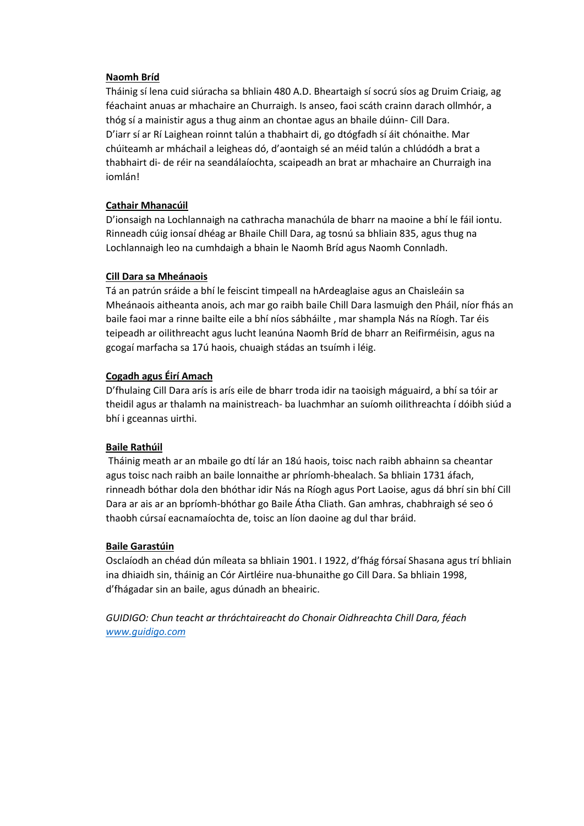#### **Naomh Bríd**

Tháinig sí lena cuid siúracha sa bhliain 480 A.D. Bheartaigh sí socrú síos ag Druim Criaig, ag féachaint anuas ar mhachaire an Churraigh. Is anseo, faoi scáth crainn darach ollmhór, a thóg sí a mainistir agus a thug ainm an chontae agus an bhaile dúinn- Cill Dara. D'iarr sí ar Rí Laighean roinnt talún a thabhairt di, go dtógfadh sí áit chónaithe. Mar chúiteamh ar mháchail a leigheas dó, d'aontaigh sé an méid talún a chlúdódh a brat a thabhairt di- de réir na seandálaíochta, scaipeadh an brat ar mhachaire an Churraigh ina iomlán!

# **Cathair Mhanacúil**

D'ionsaigh na Lochlannaigh na cathracha manachúla de bharr na maoine a bhí le fáil iontu. Rinneadh cúig ionsaí dhéag ar Bhaile Chill Dara, ag tosnú sa bhliain 835, agus thug na Lochlannaigh leo na cumhdaigh a bhain le Naomh Bríd agus Naomh Connladh.

# **Cill Dara sa Mheánaois**

Tá an patrún sráide a bhí le feiscint timpeall na hArdeaglaise agus an Chaisleáin sa Mheánaois aitheanta anois, ach mar go raibh baile Chill Dara lasmuigh den Pháil, níor fhás an baile faoi mar a rinne bailte eile a bhí níos sábháilte , mar shampla Nás na Ríogh. Tar éis teipeadh ar oilithreacht agus lucht leanúna Naomh Bríd de bharr an Reifirméisin, agus na gcogaí marfacha sa 17ú haois, chuaigh stádas an tsuímh i léig.

# **Cogadh agus Éirí Amach**

D'fhulaing Cill Dara arís is arís eile de bharr troda idir na taoisigh máguaird, a bhí sa tóir ar theidil agus ar thalamh na mainistreach- ba luachmhar an suíomh oilithreachta í dóibh siúd a bhí i gceannas uirthi.

# **Baile Rathúil**

Tháinig meath ar an mbaile go dtí lár an 18ú haois, toisc nach raibh abhainn sa cheantar agus toisc nach raibh an baile lonnaithe ar phríomh-bhealach. Sa bhliain 1731 áfach, rinneadh bóthar dola den bhóthar idir Nás na Ríogh agus Port Laoise, agus dá bhrí sin bhí Cill Dara ar ais ar an bpríomh-bhóthar go Baile Átha Cliath. Gan amhras, chabhraigh sé seo ó thaobh cúrsaí eacnamaíochta de, toisc an líon daoine ag dul thar bráid.

# **Baile Garastúin**

Osclaíodh an chéad dún míleata sa bhliain 1901. I 1922, d'fhág fórsaí Shasana agus trí bhliain ina dhiaidh sin, tháinig an Cór Airtléire nua-bhunaithe go Cill Dara. Sa bhliain 1998, d'fhágadar sin an baile, agus dúnadh an bheairic.

*GUIDIGO: Chun teacht ar thráchtaireacht do Chonair Oidhreachta Chill Dara, féach [www.guidigo.com](http://www.guidigo.com/)*